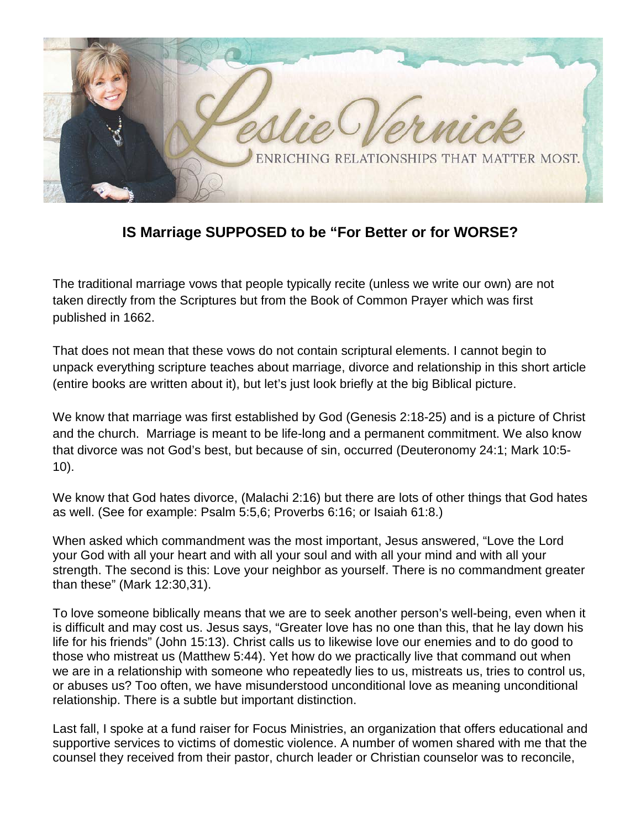

## **IS Marriage SUPPOSED to be "For Better or for WORSE?**

The traditional marriage vows that people typically recite (unless we write our own) are not taken directly from the Scriptures but from the Book of Common Prayer which was first published in 1662.

That does not mean that these vows do not contain scriptural elements. I cannot begin to unpack everything scripture teaches about marriage, divorce and relationship in this short article (entire books are written about it), but let's just look briefly at the big Biblical picture.

We know that marriage was first established by God (Genesis 2:18-25) and is a picture of Christ and the church. Marriage is meant to be life-long and a permanent commitment. We also know that divorce was not God's best, but because of sin, occurred (Deuteronomy 24:1; Mark 10:5- 10).

We know that God hates divorce, (Malachi 2:16) but there are lots of other things that God hates as well. (See for example: Psalm 5:5,6; Proverbs 6:16; or Isaiah 61:8.)

When asked which commandment was the most important, Jesus answered, "Love the Lord your God with all your heart and with all your soul and with all your mind and with all your strength. The second is this: Love your neighbor as yourself. There is no commandment greater than these" (Mark 12:30,31).

To love someone biblically means that we are to seek another person's well-being, even when it is difficult and may cost us. Jesus says, "Greater love has no one than this, that he lay down his life for his friends" (John 15:13). Christ calls us to likewise love our enemies and to do good to those who mistreat us (Matthew 5:44). Yet how do we practically live that command out when we are in a relationship with someone who repeatedly lies to us, mistreats us, tries to control us, or abuses us? Too often, we have misunderstood unconditional love as meaning unconditional relationship. There is a subtle but important distinction.

Last fall, I spoke at a fund raiser for Focus Ministries, an organization that offers educational and supportive services to victims of domestic violence. A number of women shared with me that the counsel they received from their pastor, church leader or Christian counselor was to reconcile,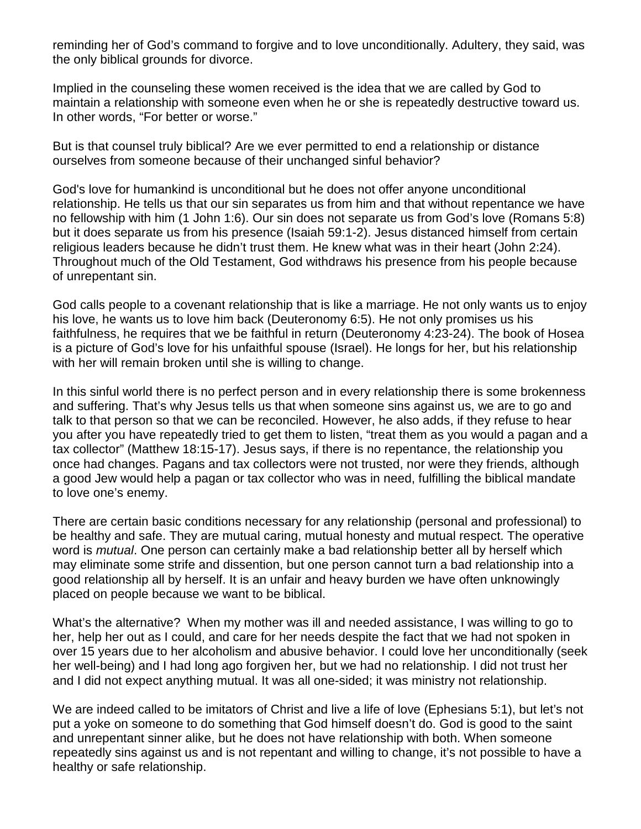reminding her of God's command to forgive and to love unconditionally. Adultery, they said, was the only biblical grounds for divorce.

Implied in the counseling these women received is the idea that we are called by God to maintain a relationship with someone even when he or she is repeatedly destructive toward us. In other words, "For better or worse."

But is that counsel truly biblical? Are we ever permitted to end a relationship or distance ourselves from someone because of their unchanged sinful behavior?

God's love for humankind is unconditional but he does not offer anyone unconditional relationship. He tells us that our sin separates us from him and that without repentance we have no fellowship with him (1 John 1:6). Our sin does not separate us from God's love (Romans 5:8) but it does separate us from his presence (Isaiah 59:1-2). Jesus distanced himself from certain religious leaders because he didn't trust them. He knew what was in their heart (John 2:24). Throughout much of the Old Testament, God withdraws his presence from his people because of unrepentant sin.

God calls people to a covenant relationship that is like a marriage. He not only wants us to enjoy his love, he wants us to love him back (Deuteronomy 6:5). He not only promises us his faithfulness, he requires that we be faithful in return (Deuteronomy 4:23-24). The book of Hosea is a picture of God's love for his unfaithful spouse (Israel). He longs for her, but his relationship with her will remain broken until she is willing to change.

In this sinful world there is no perfect person and in every relationship there is some brokenness and suffering. That's why Jesus tells us that when someone sins against us, we are to go and talk to that person so that we can be reconciled. However, he also adds, if they refuse to hear you after you have repeatedly tried to get them to listen, "treat them as you would a pagan and a tax collector" (Matthew 18:15-17). Jesus says, if there is no repentance, the relationship you once had changes. Pagans and tax collectors were not trusted, nor were they friends, although a good Jew would help a pagan or tax collector who was in need, fulfilling the biblical mandate to love one's enemy.

There are certain basic conditions necessary for any relationship (personal and professional) to be healthy and safe. They are mutual caring, mutual honesty and mutual respect. The operative word is *mutual*. One person can certainly make a bad relationship better all by herself which may eliminate some strife and dissention, but one person cannot turn a bad relationship into a good relationship all by herself. It is an unfair and heavy burden we have often unknowingly placed on people because we want to be biblical.

What's the alternative? When my mother was ill and needed assistance, I was willing to go to her, help her out as I could, and care for her needs despite the fact that we had not spoken in over 15 years due to her alcoholism and abusive behavior. I could love her unconditionally (seek her well-being) and I had long ago forgiven her, but we had no relationship. I did not trust her and I did not expect anything mutual. It was all one-sided; it was ministry not relationship.

We are indeed called to be imitators of Christ and live a life of love (Ephesians 5:1), but let's not put a yoke on someone to do something that God himself doesn't do. God is good to the saint and unrepentant sinner alike, but he does not have relationship with both. When someone repeatedly sins against us and is not repentant and willing to change, it's not possible to have a healthy or safe relationship.